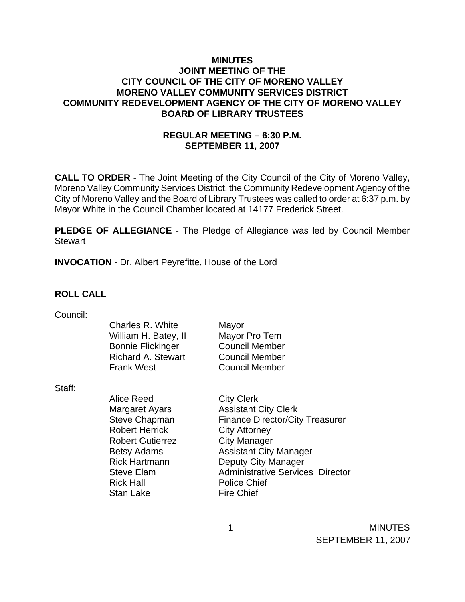#### **MINUTES JOINT MEETING OF THE CITY COUNCIL OF THE CITY OF MORENO VALLEY MORENO VALLEY COMMUNITY SERVICES DISTRICT COMMUNITY REDEVELOPMENT AGENCY OF THE CITY OF MORENO VALLEY BOARD OF LIBRARY TRUSTEES**

## **REGULAR MEETING – 6:30 P.M. SEPTEMBER 11, 2007**

**CALL TO ORDER** - The Joint Meeting of the City Council of the City of Moreno Valley, Moreno Valley Community Services District, the Community Redevelopment Agency of the City of Moreno Valley and the Board of Library Trustees was called to order at 6:37 p.m. by Mayor White in the Council Chamber located at 14177 Frederick Street.

**PLEDGE OF ALLEGIANCE** - The Pledge of Allegiance was led by Council Member Stewart

**INVOCATION** - Dr. Albert Peyrefitte, House of the Lord

#### **ROLL CALL**

| Council: |                           |                                         |
|----------|---------------------------|-----------------------------------------|
|          | Charles R. White          | Mayor                                   |
|          | William H. Batey, II      | Mayor Pro Tem                           |
|          | <b>Bonnie Flickinger</b>  | <b>Council Member</b>                   |
|          | <b>Richard A. Stewart</b> | <b>Council Member</b>                   |
|          | <b>Frank West</b>         | <b>Council Member</b>                   |
| Staff:   |                           |                                         |
|          | Alice Reed                | <b>City Clerk</b>                       |
|          | <b>Margaret Ayars</b>     | <b>Assistant City Clerk</b>             |
|          | <b>Steve Chapman</b>      | <b>Finance Director/City Treasurer</b>  |
|          | <b>Robert Herrick</b>     | <b>City Attorney</b>                    |
|          | <b>Robert Gutierrez</b>   | <b>City Manager</b>                     |
|          | Betsy Adams               | <b>Assistant City Manager</b>           |
|          | <b>Rick Hartmann</b>      | Deputy City Manager                     |
|          | <b>Steve Elam</b>         | <b>Administrative Services Director</b> |
|          | <b>Rick Hall</b>          | <b>Police Chief</b>                     |
|          | <b>Stan Lake</b>          | <b>Fire Chief</b>                       |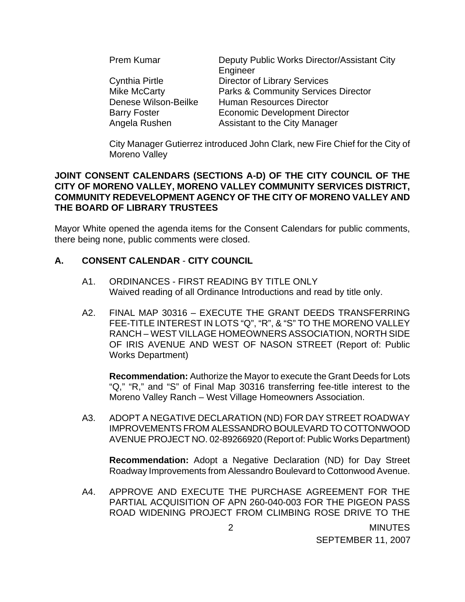| Prem Kumar           | Deputy Public Works Director/Assistant City    |
|----------------------|------------------------------------------------|
|                      | Engineer                                       |
| Cynthia Pirtle       | <b>Director of Library Services</b>            |
| <b>Mike McCarty</b>  | <b>Parks &amp; Community Services Director</b> |
| Denese Wilson-Beilke | <b>Human Resources Director</b>                |
| <b>Barry Foster</b>  | <b>Economic Development Director</b>           |
| Angela Rushen        | <b>Assistant to the City Manager</b>           |

City Manager Gutierrez introduced John Clark, new Fire Chief for the City of Moreno Valley

#### **JOINT CONSENT CALENDARS (SECTIONS A-D) OF THE CITY COUNCIL OF THE CITY OF MORENO VALLEY, MORENO VALLEY COMMUNITY SERVICES DISTRICT, COMMUNITY REDEVELOPMENT AGENCY OF THE CITY OF MORENO VALLEY AND THE BOARD OF LIBRARY TRUSTEES**

Mayor White opened the agenda items for the Consent Calendars for public comments, there being none, public comments were closed.

## **A. CONSENT CALENDAR** - **CITY COUNCIL**

- A1. ORDINANCES FIRST READING BY TITLE ONLY Waived reading of all Ordinance Introductions and read by title only.
- A2. FINAL MAP 30316 EXECUTE THE GRANT DEEDS TRANSFERRING FEE-TITLE INTEREST IN LOTS "Q", "R", & "S" TO THE MORENO VALLEY RANCH – WEST VILLAGE HOMEOWNERS ASSOCIATION, NORTH SIDE OF IRIS AVENUE AND WEST OF NASON STREET (Report of: Public Works Department)

**Recommendation:** Authorize the Mayor to execute the Grant Deeds for Lots "Q," "R," and "S" of Final Map 30316 transferring fee-title interest to the Moreno Valley Ranch – West Village Homeowners Association.

A3. ADOPT A NEGATIVE DECLARATION (ND) FOR DAY STREET ROADWAY IMPROVEMENTS FROM ALESSANDRO BOULEVARD TO COTTONWOOD AVENUE PROJECT NO. 02-89266920 (Report of: Public Works Department)

**Recommendation:** Adopt a Negative Declaration (ND) for Day Street Roadway Improvements from Alessandro Boulevard to Cottonwood Avenue.

A4. APPROVE AND EXECUTE THE PURCHASE AGREEMENT FOR THE PARTIAL ACQUISITION OF APN 260-040-003 FOR THE PIGEON PASS ROAD WIDENING PROJECT FROM CLIMBING ROSE DRIVE TO THE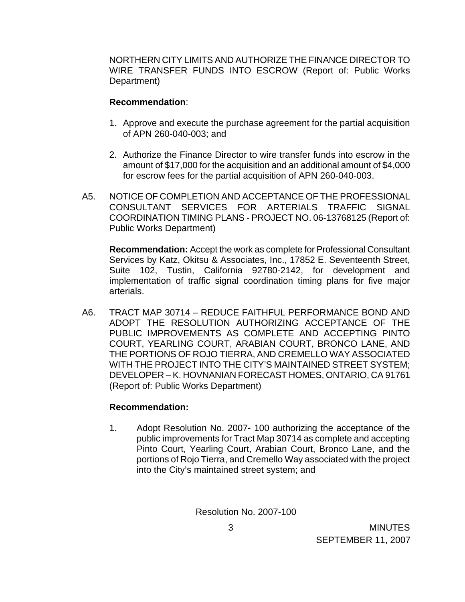NORTHERN CITY LIMITS AND AUTHORIZE THE FINANCE DIRECTOR TO WIRE TRANSFER FUNDS INTO ESCROW (Report of: Public Works Department)

#### **Recommendation**:

- 1. Approve and execute the purchase agreement for the partial acquisition of APN 260-040-003; and
- 2. Authorize the Finance Director to wire transfer funds into escrow in the amount of \$17,000 for the acquisition and an additional amount of \$4,000 for escrow fees for the partial acquisition of APN 260-040-003.
- A5. NOTICE OF COMPLETION AND ACCEPTANCE OF THE PROFESSIONAL CONSULTANT SERVICES FOR ARTERIALS TRAFFIC SIGNAL COORDINATION TIMING PLANS - PROJECT NO. 06-13768125 (Report of: Public Works Department)

**Recommendation:** Accept the work as complete for Professional Consultant Services by Katz, Okitsu & Associates, Inc., 17852 E. Seventeenth Street, Suite 102, Tustin, California 92780-2142, for development and implementation of traffic signal coordination timing plans for five major arterials.

A6. TRACT MAP 30714 – REDUCE FAITHFUL PERFORMANCE BOND AND ADOPT THE RESOLUTION AUTHORIZING ACCEPTANCE OF THE PUBLIC IMPROVEMENTS AS COMPLETE AND ACCEPTING PINTO COURT, YEARLING COURT, ARABIAN COURT, BRONCO LANE, AND THE PORTIONS OF ROJO TIERRA, AND CREMELLO WAY ASSOCIATED WITH THE PROJECT INTO THE CITY'S MAINTAINED STREET SYSTEM; DEVELOPER – K. HOVNANIAN FORECAST HOMES, ONTARIO, CA 91761 (Report of: Public Works Department)

#### **Recommendation:**

1. Adopt Resolution No. 2007- 100 authorizing the acceptance of the public improvements for Tract Map 30714 as complete and accepting Pinto Court, Yearling Court, Arabian Court, Bronco Lane, and the portions of Rojo Tierra, and Cremello Way associated with the project into the City's maintained street system; and

Resolution No. 2007-100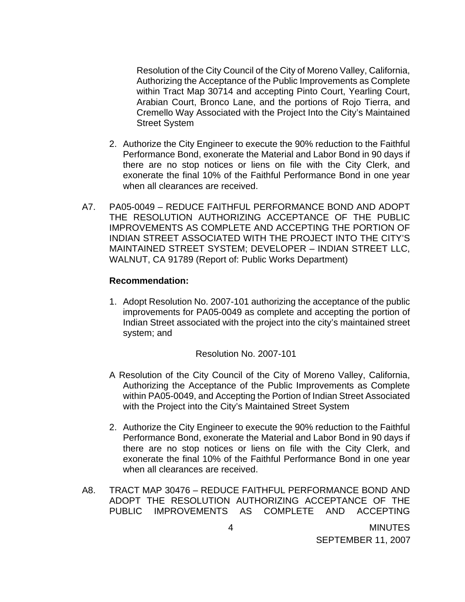Resolution of the City Council of the City of Moreno Valley, California, Authorizing the Acceptance of the Public Improvements as Complete within Tract Map 30714 and accepting Pinto Court, Yearling Court, Arabian Court, Bronco Lane, and the portions of Rojo Tierra, and Cremello Way Associated with the Project Into the City's Maintained Street System

- 2. Authorize the City Engineer to execute the 90% reduction to the Faithful Performance Bond, exonerate the Material and Labor Bond in 90 days if there are no stop notices or liens on file with the City Clerk, and exonerate the final 10% of the Faithful Performance Bond in one year when all clearances are received.
- A7. PA05-0049 REDUCE FAITHFUL PERFORMANCE BOND AND ADOPT THE RESOLUTION AUTHORIZING ACCEPTANCE OF THE PUBLIC IMPROVEMENTS AS COMPLETE AND ACCEPTING THE PORTION OF INDIAN STREET ASSOCIATED WITH THE PROJECT INTO THE CITY'S MAINTAINED STREET SYSTEM; DEVELOPER – INDIAN STREET LLC, WALNUT, CA 91789 (Report of: Public Works Department)

#### **Recommendation:**

1. Adopt Resolution No. 2007-101 authorizing the acceptance of the public improvements for PA05-0049 as complete and accepting the portion of Indian Street associated with the project into the city's maintained street system; and

Resolution No. 2007-101

- A Resolution of the City Council of the City of Moreno Valley, California, Authorizing the Acceptance of the Public Improvements as Complete within PA05-0049, and Accepting the Portion of Indian Street Associated with the Project into the City's Maintained Street System
- 2. Authorize the City Engineer to execute the 90% reduction to the Faithful Performance Bond, exonerate the Material and Labor Bond in 90 days if there are no stop notices or liens on file with the City Clerk, and exonerate the final 10% of the Faithful Performance Bond in one year when all clearances are received.
- A8. TRACT MAP 30476 REDUCE FAITHFUL PERFORMANCE BOND AND ADOPT THE RESOLUTION AUTHORIZING ACCEPTANCE OF THE PUBLIC IMPROVEMENTS AS COMPLETE AND ACCEPTING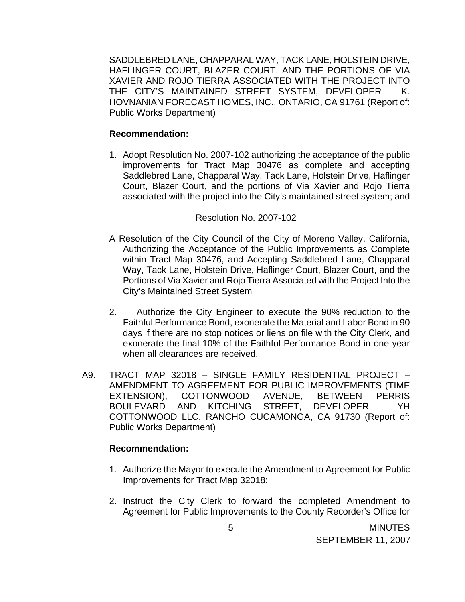SADDLEBRED LANE, CHAPPARAL WAY, TACK LANE, HOLSTEIN DRIVE, HAFLINGER COURT, BLAZER COURT, AND THE PORTIONS OF VIA XAVIER AND ROJO TIERRA ASSOCIATED WITH THE PROJECT INTO THE CITY'S MAINTAINED STREET SYSTEM, DEVELOPER – K. HOVNANIAN FORECAST HOMES, INC., ONTARIO, CA 91761 (Report of: Public Works Department)

#### **Recommendation:**

1. Adopt Resolution No. 2007-102 authorizing the acceptance of the public improvements for Tract Map 30476 as complete and accepting Saddlebred Lane, Chapparal Way, Tack Lane, Holstein Drive, Haflinger Court, Blazer Court, and the portions of Via Xavier and Rojo Tierra associated with the project into the City's maintained street system; and

#### Resolution No. 2007-102

- A Resolution of the City Council of the City of Moreno Valley, California, Authorizing the Acceptance of the Public Improvements as Complete within Tract Map 30476, and Accepting Saddlebred Lane, Chapparal Way, Tack Lane, Holstein Drive, Haflinger Court, Blazer Court, and the Portions of Via Xavier and Rojo Tierra Associated with the Project Into the City's Maintained Street System
- 2. Authorize the City Engineer to execute the 90% reduction to the Faithful Performance Bond, exonerate the Material and Labor Bond in 90 days if there are no stop notices or liens on file with the City Clerk, and exonerate the final 10% of the Faithful Performance Bond in one year when all clearances are received.
- A9. TRACT MAP 32018 SINGLE FAMILY RESIDENTIAL PROJECT AMENDMENT TO AGREEMENT FOR PUBLIC IMPROVEMENTS (TIME EXTENSION), COTTONWOOD AVENUE, BETWEEN PERRIS BOULEVARD AND KITCHING STREET, DEVELOPER – YH COTTONWOOD LLC, RANCHO CUCAMONGA, CA 91730 (Report of: Public Works Department)

#### **Recommendation:**

- 1. Authorize the Mayor to execute the Amendment to Agreement for Public Improvements for Tract Map 32018;
- 2. Instruct the City Clerk to forward the completed Amendment to Agreement for Public Improvements to the County Recorder's Office for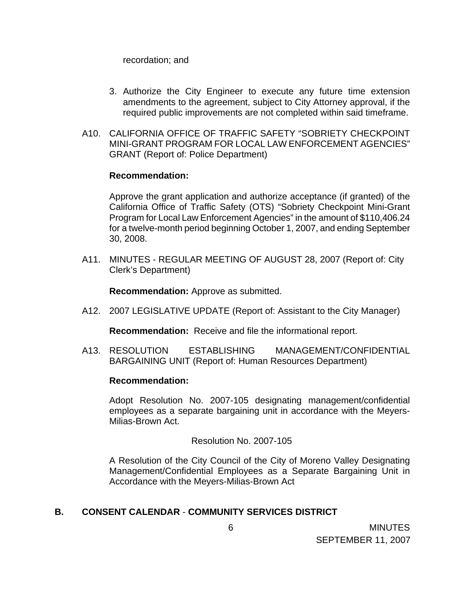recordation; and

- 3. Authorize the City Engineer to execute any future time extension amendments to the agreement, subject to City Attorney approval, if the required public improvements are not completed within said timeframe.
- A10. CALIFORNIA OFFICE OF TRAFFIC SAFETY "SOBRIETY CHECKPOINT MINI-GRANT PROGRAM FOR LOCAL LAW ENFORCEMENT AGENCIES" GRANT (Report of: Police Department)

#### **Recommendation:**

 Approve the grant application and authorize acceptance (if granted) of the California Office of Traffic Safety (OTS) "Sobriety Checkpoint Mini-Grant Program for Local Law Enforcement Agencies" in the amount of \$110,406.24 for a twelve-month period beginning October 1, 2007, and ending September 30, 2008.

A11. MINUTES - REGULAR MEETING OF AUGUST 28, 2007 (Report of: City Clerk's Department)

**Recommendation:** Approve as submitted.

A12. 2007 LEGISLATIVE UPDATE (Report of: Assistant to the City Manager)

**Recommendation:** Receive and file the informational report.

A13. RESOLUTION ESTABLISHING MANAGEMENT/CONFIDENTIAL BARGAINING UNIT (Report of: Human Resources Department)

#### **Recommendation:**

 Adopt Resolution No. 2007-105 designating management/confidential employees as a separate bargaining unit in accordance with the Meyers-Milias-Brown Act.

#### Resolution No. 2007-105

 A Resolution of the City Council of the City of Moreno Valley Designating Management/Confidential Employees as a Separate Bargaining Unit in Accordance with the Meyers-Milias-Brown Act

#### **B. CONSENT CALENDAR** - **COMMUNITY SERVICES DISTRICT**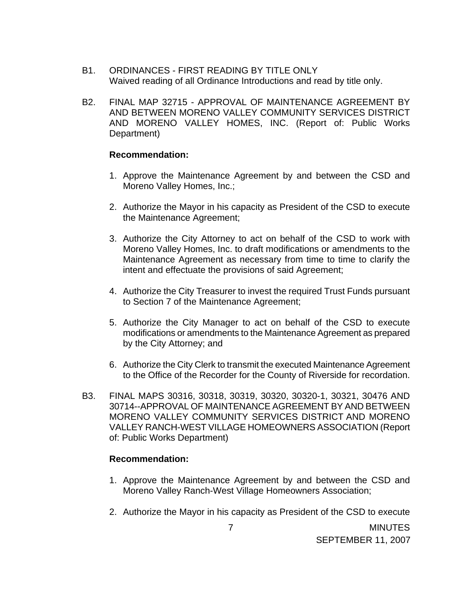- B1. ORDINANCES FIRST READING BY TITLE ONLY Waived reading of all Ordinance Introductions and read by title only.
- B2. FINAL MAP 32715 APPROVAL OF MAINTENANCE AGREEMENT BY AND BETWEEN MORENO VALLEY COMMUNITY SERVICES DISTRICT AND MORENO VALLEY HOMES, INC. (Report of: Public Works Department)

#### **Recommendation:**

- 1. Approve the Maintenance Agreement by and between the CSD and Moreno Valley Homes, Inc.;
- 2. Authorize the Mayor in his capacity as President of the CSD to execute the Maintenance Agreement;
- 3. Authorize the City Attorney to act on behalf of the CSD to work with Moreno Valley Homes, Inc. to draft modifications or amendments to the Maintenance Agreement as necessary from time to time to clarify the intent and effectuate the provisions of said Agreement;
- 4. Authorize the City Treasurer to invest the required Trust Funds pursuant to Section 7 of the Maintenance Agreement;
- 5. Authorize the City Manager to act on behalf of the CSD to execute modifications or amendments to the Maintenance Agreement as prepared by the City Attorney; and
- 6. Authorize the City Clerk to transmit the executed Maintenance Agreement to the Office of the Recorder for the County of Riverside for recordation.
- B3. FINAL MAPS 30316, 30318, 30319, 30320, 30320-1, 30321, 30476 AND 30714--APPROVAL OF MAINTENANCE AGREEMENT BY AND BETWEEN MORENO VALLEY COMMUNITY SERVICES DISTRICT AND MORENO VALLEY RANCH-WEST VILLAGE HOMEOWNERS ASSOCIATION (Report of: Public Works Department)

#### **Recommendation:**

- 1. Approve the Maintenance Agreement by and between the CSD and Moreno Valley Ranch-West Village Homeowners Association;
- 2. Authorize the Mayor in his capacity as President of the CSD to execute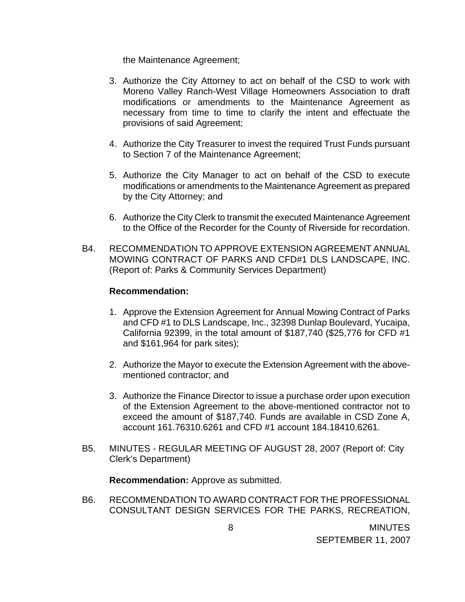the Maintenance Agreement;

- 3. Authorize the City Attorney to act on behalf of the CSD to work with Moreno Valley Ranch-West Village Homeowners Association to draft modifications or amendments to the Maintenance Agreement as necessary from time to time to clarify the intent and effectuate the provisions of said Agreement;
- 4. Authorize the City Treasurer to invest the required Trust Funds pursuant to Section 7 of the Maintenance Agreement;
- 5. Authorize the City Manager to act on behalf of the CSD to execute modifications or amendments to the Maintenance Agreement as prepared by the City Attorney; and
- 6. Authorize the City Clerk to transmit the executed Maintenance Agreement to the Office of the Recorder for the County of Riverside for recordation.
- B4. RECOMMENDATION TO APPROVE EXTENSION AGREEMENT ANNUAL MOWING CONTRACT OF PARKS AND CFD#1 DLS LANDSCAPE, INC. (Report of: Parks & Community Services Department)

#### **Recommendation:**

- 1. Approve the Extension Agreement for Annual Mowing Contract of Parks and CFD #1 to DLS Landscape, Inc., 32398 Dunlap Boulevard, Yucaipa, California 92399, in the total amount of \$187,740 (\$25,776 for CFD #1 and \$161,964 for park sites);
- 2. Authorize the Mayor to execute the Extension Agreement with the abovementioned contractor; and
- 3. Authorize the Finance Director to issue a purchase order upon execution of the Extension Agreement to the above-mentioned contractor not to exceed the amount of \$187,740. Funds are available in CSD Zone A, account 161.76310.6261 and CFD #1 account 184.18410.6261.
- B5. MINUTES REGULAR MEETING OF AUGUST 28, 2007 (Report of: City Clerk's Department)

**Recommendation:** Approve as submitted.

B6. RECOMMENDATION TO AWARD CONTRACT FOR THE PROFESSIONAL CONSULTANT DESIGN SERVICES FOR THE PARKS, RECREATION,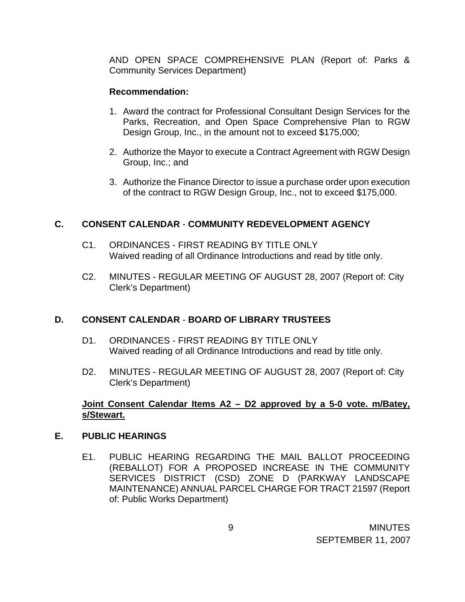AND OPEN SPACE COMPREHENSIVE PLAN (Report of: Parks & Community Services Department)

## **Recommendation:**

- 1. Award the contract for Professional Consultant Design Services for the Parks, Recreation, and Open Space Comprehensive Plan to RGW Design Group, Inc., in the amount not to exceed \$175,000;
- 2. Authorize the Mayor to execute a Contract Agreement with RGW Design Group, Inc.; and
- 3. Authorize the Finance Director to issue a purchase order upon execution of the contract to RGW Design Group, Inc., not to exceed \$175,000.

## **C. CONSENT CALENDAR** - **COMMUNITY REDEVELOPMENT AGENCY**

- C1. ORDINANCES FIRST READING BY TITLE ONLY Waived reading of all Ordinance Introductions and read by title only.
- C2. MINUTES REGULAR MEETING OF AUGUST 28, 2007 (Report of: City Clerk's Department)

## **D. CONSENT CALENDAR** - **BOARD OF LIBRARY TRUSTEES**

- D1. ORDINANCES FIRST READING BY TITLE ONLY Waived reading of all Ordinance Introductions and read by title only.
- D2. MINUTES REGULAR MEETING OF AUGUST 28, 2007 (Report of: City Clerk's Department)

## **Joint Consent Calendar Items A2 – D2 approved by a 5-0 vote. m/Batey, s/Stewart.**

#### **E. PUBLIC HEARINGS**

E1. PUBLIC HEARING REGARDING THE MAIL BALLOT PROCEEDING (REBALLOT) FOR A PROPOSED INCREASE IN THE COMMUNITY SERVICES DISTRICT (CSD) ZONE D (PARKWAY LANDSCAPE MAINTENANCE) ANNUAL PARCEL CHARGE FOR TRACT 21597 (Report of: Public Works Department)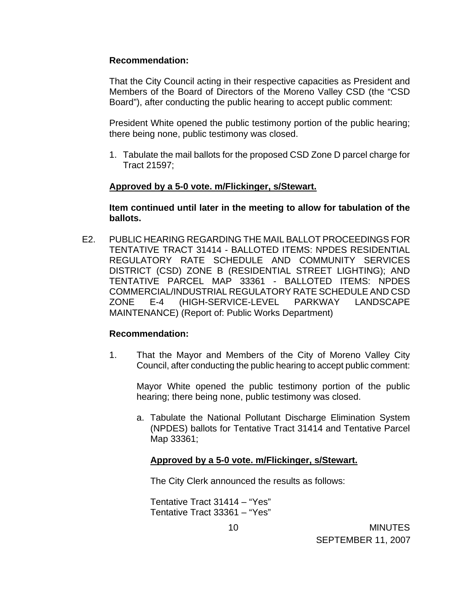#### **Recommendation:**

That the City Council acting in their respective capacities as President and Members of the Board of Directors of the Moreno Valley CSD (the "CSD Board"), after conducting the public hearing to accept public comment:

 President White opened the public testimony portion of the public hearing; there being none, public testimony was closed.

1. Tabulate the mail ballots for the proposed CSD Zone D parcel charge for Tract 21597;

#### **Approved by a 5-0 vote. m/Flickinger, s/Stewart.**

**Item continued until later in the meeting to allow for tabulation of the ballots.** 

E2. PUBLIC HEARING REGARDING THE MAIL BALLOT PROCEEDINGS FOR TENTATIVE TRACT 31414 - BALLOTED ITEMS: NPDES RESIDENTIAL REGULATORY RATE SCHEDULE AND COMMUNITY SERVICES DISTRICT (CSD) ZONE B (RESIDENTIAL STREET LIGHTING); AND TENTATIVE PARCEL MAP 33361 - BALLOTED ITEMS: NPDES COMMERCIAL/INDUSTRIAL REGULATORY RATE SCHEDULE AND CSD ZONE E-4 (HIGH-SERVICE-LEVEL PARKWAY LANDSCAPE MAINTENANCE) (Report of: Public Works Department)

#### **Recommendation:**

1. That the Mayor and Members of the City of Moreno Valley City Council, after conducting the public hearing to accept public comment:

 Mayor White opened the public testimony portion of the public hearing; there being none, public testimony was closed.

a. Tabulate the National Pollutant Discharge Elimination System (NPDES) ballots for Tentative Tract 31414 and Tentative Parcel Map 33361;

#### **Approved by a 5-0 vote. m/Flickinger, s/Stewart.**

The City Clerk announced the results as follows:

Tentative Tract 31414 – "Yes" Tentative Tract 33361 – "Yes"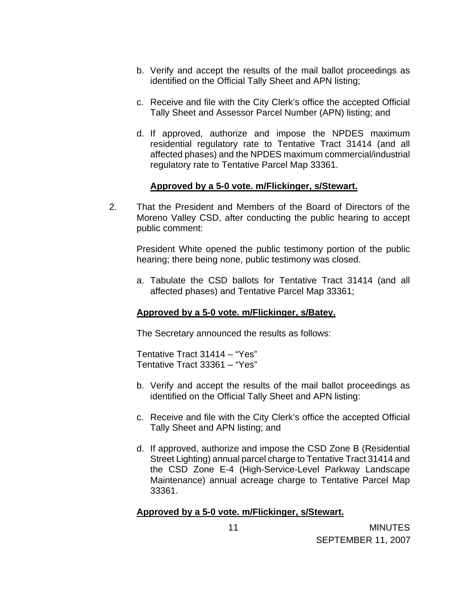- b. Verify and accept the results of the mail ballot proceedings as identified on the Official Tally Sheet and APN listing;
- c. Receive and file with the City Clerk's office the accepted Official Tally Sheet and Assessor Parcel Number (APN) listing; and
- d. If approved, authorize and impose the NPDES maximum residential regulatory rate to Tentative Tract 31414 (and all affected phases) and the NPDES maximum commercial/industrial regulatory rate to Tentative Parcel Map 33361.

#### **Approved by a 5-0 vote. m/Flickinger, s/Stewart.**

2. That the President and Members of the Board of Directors of the Moreno Valley CSD, after conducting the public hearing to accept public comment:

 President White opened the public testimony portion of the public hearing; there being none, public testimony was closed.

a. Tabulate the CSD ballots for Tentative Tract 31414 (and all affected phases) and Tentative Parcel Map 33361;

#### **Approved by a 5-0 vote. m/Flickinger, s/Batey.**

The Secretary announced the results as follows:

Tentative Tract 31414 – "Yes" Tentative Tract 33361 – "Yes"

- b. Verify and accept the results of the mail ballot proceedings as identified on the Official Tally Sheet and APN listing:
- c. Receive and file with the City Clerk's office the accepted Official Tally Sheet and APN listing; and
- d. If approved, authorize and impose the CSD Zone B (Residential Street Lighting) annual parcel charge to Tentative Tract 31414 and the CSD Zone E-4 (High-Service-Level Parkway Landscape Maintenance) annual acreage charge to Tentative Parcel Map 33361.

## **Approved by a 5-0 vote. m/Flickinger, s/Stewart.**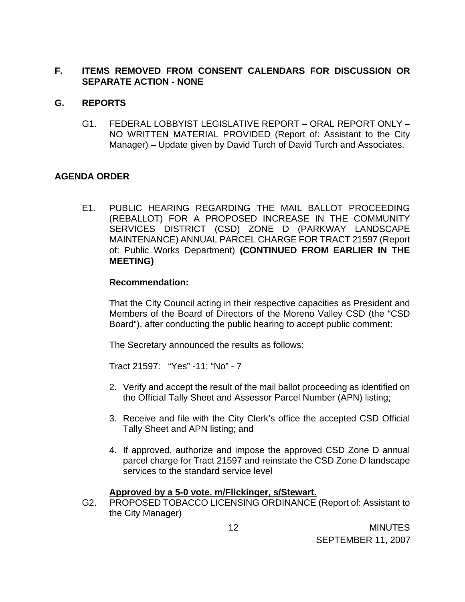## **F. ITEMS REMOVED FROM CONSENT CALENDARS FOR DISCUSSION OR SEPARATE ACTION - NONE**

#### **G. REPORTS**

G1. FEDERAL LOBBYIST LEGISLATIVE REPORT – ORAL REPORT ONLY – NO WRITTEN MATERIAL PROVIDED (Report of: Assistant to the City Manager) – Update given by David Turch of David Turch and Associates.

## **AGENDA ORDER**

E1. PUBLIC HEARING REGARDING THE MAIL BALLOT PROCEEDING (REBALLOT) FOR A PROPOSED INCREASE IN THE COMMUNITY SERVICES DISTRICT (CSD) ZONE D (PARKWAY LANDSCAPE MAINTENANCE) ANNUAL PARCEL CHARGE FOR TRACT 21597 (Report of: Public Works Department) **(CONTINUED FROM EARLIER IN THE MEETING)** 

#### **Recommendation:**

That the City Council acting in their respective capacities as President and Members of the Board of Directors of the Moreno Valley CSD (the "CSD Board"), after conducting the public hearing to accept public comment:

The Secretary announced the results as follows:

Tract 21597: "Yes" -11; "No" - 7

- 2. Verify and accept the result of the mail ballot proceeding as identified on the Official Tally Sheet and Assessor Parcel Number (APN) listing;
- 3. Receive and file with the City Clerk's office the accepted CSD Official Tally Sheet and APN listing; and
- 4. If approved, authorize and impose the approved CSD Zone D annual parcel charge for Tract 21597 and reinstate the CSD Zone D landscape services to the standard service level

#### **Approved by a 5-0 vote. m/Flickinger, s/Stewart.**

G2. PROPOSED TOBACCO LICENSING ORDINANCE (Report of: Assistant to the City Manager)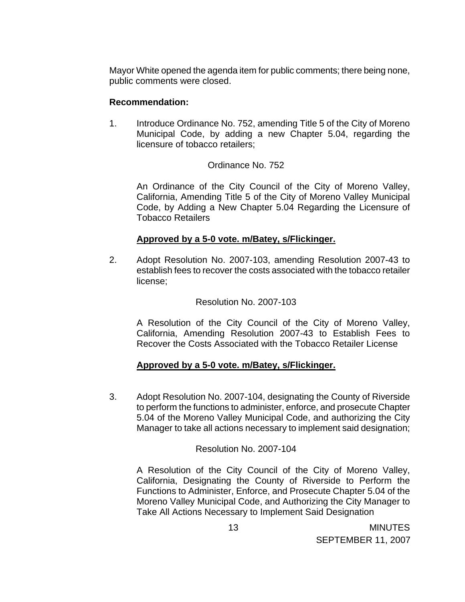Mayor White opened the agenda item for public comments; there being none, public comments were closed.

#### **Recommendation:**

1. Introduce Ordinance No. 752, amending Title 5 of the City of Moreno Municipal Code, by adding a new Chapter 5.04, regarding the licensure of tobacco retailers;

## Ordinance No. 752

 An Ordinance of the City Council of the City of Moreno Valley, California, Amending Title 5 of the City of Moreno Valley Municipal Code, by Adding a New Chapter 5.04 Regarding the Licensure of Tobacco Retailers

## **Approved by a 5-0 vote. m/Batey, s/Flickinger.**

 2. Adopt Resolution No. 2007-103, amending Resolution 2007-43 to establish fees to recover the costs associated with the tobacco retailer license;

#### Resolution No. 2007-103

 A Resolution of the City Council of the City of Moreno Valley, California, Amending Resolution 2007-43 to Establish Fees to Recover the Costs Associated with the Tobacco Retailer License

#### **Approved by a 5-0 vote. m/Batey, s/Flickinger.**

 3. Adopt Resolution No. 2007-104, designating the County of Riverside to perform the functions to administer, enforce, and prosecute Chapter 5.04 of the Moreno Valley Municipal Code, and authorizing the City Manager to take all actions necessary to implement said designation;

#### Resolution No. 2007-104

 A Resolution of the City Council of the City of Moreno Valley, California, Designating the County of Riverside to Perform the Functions to Administer, Enforce, and Prosecute Chapter 5.04 of the Moreno Valley Municipal Code, and Authorizing the City Manager to Take All Actions Necessary to Implement Said Designation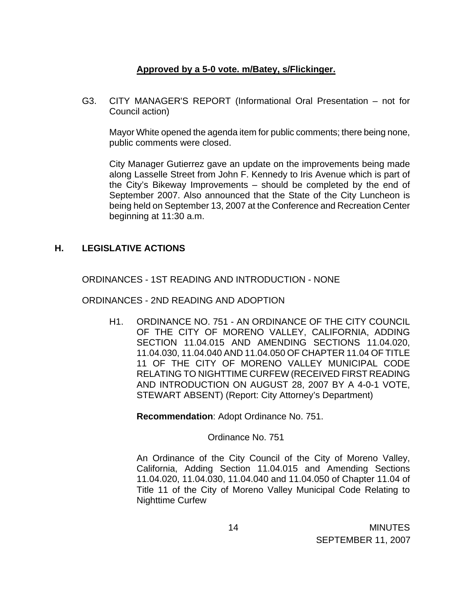## **Approved by a 5-0 vote. m/Batey, s/Flickinger.**

G3. CITY MANAGER'S REPORT (Informational Oral Presentation – not for Council action)

Mayor White opened the agenda item for public comments; there being none, public comments were closed.

 City Manager Gutierrez gave an update on the improvements being made along Lasselle Street from John F. Kennedy to Iris Avenue which is part of the City's Bikeway Improvements – should be completed by the end of September 2007. Also announced that the State of the City Luncheon is being held on September 13, 2007 at the Conference and Recreation Center beginning at 11:30 a.m.

## **H. LEGISLATIVE ACTIONS**

ORDINANCES - 1ST READING AND INTRODUCTION - NONE

ORDINANCES - 2ND READING AND ADOPTION

 H1. ORDINANCE NO. 751 - AN ORDINANCE OF THE CITY COUNCIL OF THE CITY OF MORENO VALLEY, CALIFORNIA, ADDING SECTION 11.04.015 AND AMENDING SECTIONS 11.04.020, 11.04.030, 11.04.040 AND 11.04.050 OF CHAPTER 11.04 OF TITLE 11 OF THE CITY OF MORENO VALLEY MUNICIPAL CODE RELATING TO NIGHTTIME CURFEW (RECEIVED FIRST READING AND INTRODUCTION ON AUGUST 28, 2007 BY A 4-0-1 VOTE, STEWART ABSENT) (Report: City Attorney's Department)

**Recommendation**: Adopt Ordinance No. 751.

#### Ordinance No. 751

 An Ordinance of the City Council of the City of Moreno Valley, California, Adding Section 11.04.015 and Amending Sections 11.04.020, 11.04.030, 11.04.040 and 11.04.050 of Chapter 11.04 of Title 11 of the City of Moreno Valley Municipal Code Relating to Nighttime Curfew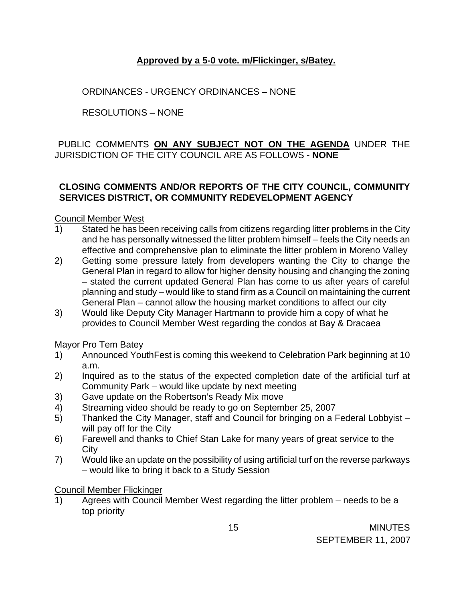## **Approved by a 5-0 vote. m/Flickinger, s/Batey.**

ORDINANCES - URGENCY ORDINANCES – NONE

RESOLUTIONS – NONE

## PUBLIC COMMENTS **ON ANY SUBJECT NOT ON THE AGENDA** UNDER THE JURISDICTION OF THE CITY COUNCIL ARE AS FOLLOWS - **NONE**

## **CLOSING COMMENTS AND/OR REPORTS OF THE CITY COUNCIL, COMMUNITY SERVICES DISTRICT, OR COMMUNITY REDEVELOPMENT AGENCY**

Council Member West

- 1) Stated he has been receiving calls from citizens regarding litter problems in the City and he has personally witnessed the litter problem himself – feels the City needs an effective and comprehensive plan to eliminate the litter problem in Moreno Valley
- 2) Getting some pressure lately from developers wanting the City to change the General Plan in regard to allow for higher density housing and changing the zoning – stated the current updated General Plan has come to us after years of careful planning and study – would like to stand firm as a Council on maintaining the current General Plan – cannot allow the housing market conditions to affect our city
- 3) Would like Deputy City Manager Hartmann to provide him a copy of what he provides to Council Member West regarding the condos at Bay & Dracaea

Mayor Pro Tem Batey

- 1) Announced YouthFest is coming this weekend to Celebration Park beginning at 10 a.m.
- 2) Inquired as to the status of the expected completion date of the artificial turf at Community Park – would like update by next meeting
- 3) Gave update on the Robertson's Ready Mix move
- 4) Streaming video should be ready to go on September 25, 2007
- 5) Thanked the City Manager, staff and Council for bringing on a Federal Lobbyist will pay off for the City
- 6) Farewell and thanks to Chief Stan Lake for many years of great service to the **City**
- 7) Would like an update on the possibility of using artificial turf on the reverse parkways – would like to bring it back to a Study Session

## Council Member Flickinger

1) Agrees with Council Member West regarding the litter problem – needs to be a top priority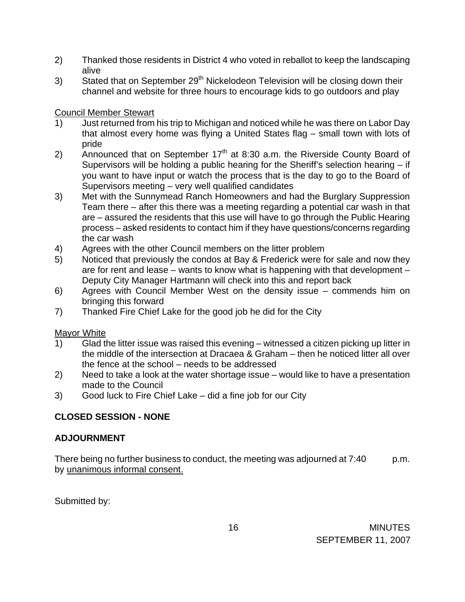- 2) Thanked those residents in District 4 who voted in reballot to keep the landscaping alive
- 3) Stated that on September 29<sup>th</sup> Nickelodeon Television will be closing down their channel and website for three hours to encourage kids to go outdoors and play

## Council Member Stewart

- 1) Just returned from his trip to Michigan and noticed while he was there on Labor Day that almost every home was flying a United States flag – small town with lots of pride
- 2) Announced that on September  $17<sup>th</sup>$  at 8:30 a.m. the Riverside County Board of Supervisors will be holding a public hearing for the Sheriff's selection hearing – if you want to have input or watch the process that is the day to go to the Board of Supervisors meeting – very well qualified candidates
- 3) Met with the Sunnymead Ranch Homeowners and had the Burglary Suppression Team there – after this there was a meeting regarding a potential car wash in that are – assured the residents that this use will have to go through the Public Hearing process – asked residents to contact him if they have questions/concerns regarding the car wash
- 4) Agrees with the other Council members on the litter problem
- 5) Noticed that previously the condos at Bay & Frederick were for sale and now they are for rent and lease – wants to know what is happening with that development – Deputy City Manager Hartmann will check into this and report back
- 6) Agrees with Council Member West on the density issue commends him on bringing this forward
- 7) Thanked Fire Chief Lake for the good job he did for the City

## Mayor White

- 1) Glad the litter issue was raised this evening witnessed a citizen picking up litter in the middle of the intersection at Dracaea & Graham – then he noticed litter all over the fence at the school – needs to be addressed
- 2) Need to take a look at the water shortage issue would like to have a presentation made to the Council
- 3) Good luck to Fire Chief Lake did a fine job for our City

# **CLOSED SESSION - NONE**

## **ADJOURNMENT**

There being no further business to conduct, the meeting was adjourned at 7:40 p.m. by unanimous informal consent.

Submitted by: